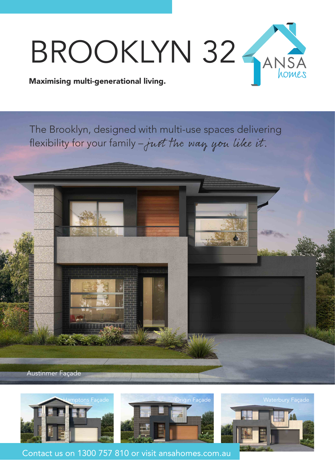

The Brooklyn, designed with multi-use spaces delivering flexibility for your family – just the way you like it.









Contact us on 1300 757 810 or visit ansahomes.com.au